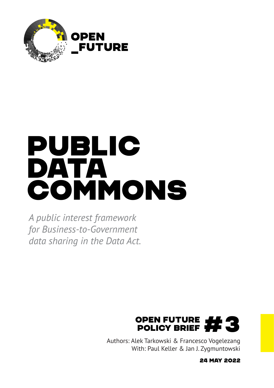

# Public DATA comMons

*A public interest framework for Business-to-Government data sharing in the Data Act.* 



Authors: Alek Tarkowski & Francesco Vogelezang With: Paul Keller & Jan J. Zygmuntowski

24 May 2022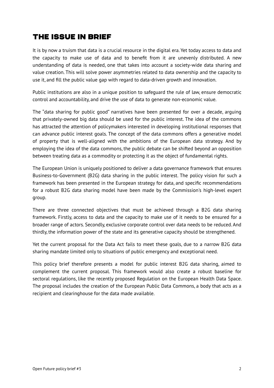## The issue in brief

It is by now a truism that data is a crucial resource in the digital era. Yet today access to data and the capacity to make use of data and to benefit from it are unevenly distributed. A new understanding of data is needed, one that takes into account a society-wide data sharing and value creation. This will solve power asymmetries related to data ownership and the capacity to use it, and fill the public value gap with regard to data-driven growth and innovation.

Public institutions are also in a unique position to safeguard the rule of law, ensure democratic control and accountability, and drive the use of data to generate non-economic value.

The "data sharing for public good" narratives have been presented for over a decade, arguing that privately-owned big data should be used for the public interest. The idea of the commons has attracted the attention of policymakers interested in developing institutional responses that can advance public interest goals. The concept of the data commons offers a generative model of property that is well-aligned with the ambitions of the European data strategy. And by employing the idea of the data commons, the public debate can be shifted beyond an opposition between treating data as a commodity or protecting it as the object of fundamental rights.

The European Union is uniquely positioned to deliver a data governance framework that ensures Business-to-Government (B2G) data sharing in the public interest. The policy vision for such a framework has been presented in the European strategy for data, and specific recommendations for a robust B2G data sharing model have been made by the Commission's high-level expert group.

There are three connected objectives that must be achieved through a B2G data sharing framework. Firstly, access to data and the capacity to make use of it needs to be ensured for a broader range of actors. Secondly, exclusive corporate control over data needs to be reduced. And thirdly, the information power of the state and its generative capacity should be strengthened.

Yet the current proposal for the Data Act fails to meet these goals, due to a narrow B2G data sharing mandate limited only to situations of public emergency and exceptional need.

This policy brief therefore presents a model for public interest B2G data sharing, aimed to complement the current proposal. This framework would also create a robust baseline for sectoral regulations, like the recently proposed Regulation on the European Health Data Space. The proposal includes the creation of the European Public Data Commons, a body that acts as a recipient and clearinghouse for the data made available.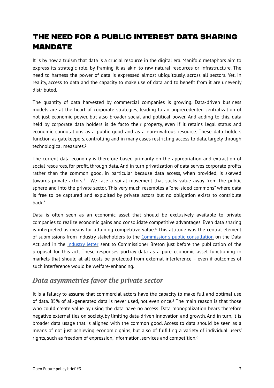# The need for a public interest data sharing **MANDATE**

It is by now a truism that data is a crucial resource in the digital era. Manifold metaphors aim to express its strategic role, by framing it as akin to raw natural resources or infrastructure. The need to harness the power of data is expressed almost ubiquitously, across all sectors. Yet, in reality, access to data and the capacity to make use of data and to benefit from it are unevenly distributed.

The quantity of data harvested by commercial companies is growing. Data-driven business models are at the heart of corporate strategies, leading to an unprecedented centralization of not just economic power, but also broader social and political power. And adding to this, data held by corporate data holders is de facto their property, even if it retains legal status and economic connotations as a public good and as a non-rivalrous resource. These data holders function as gatekeepers, controlling and in many cases restricting access to data, largely through technological measures[.1](#page-13-0)

<span id="page-2-1"></span><span id="page-2-0"></span>The current data economy is therefore based primarily on the appropriation and extraction of social resources, for profit, through data. And in turn privatization of data serves corporate profits rather than the common good, in particular because data access, when provided, is skewed towards private actors[.](#page-13-1)<sup>[2](#page-13-1)</sup> We face a spiral movement that sucks value away from the public sphere and into the private sector. This very much resembles a "one-sided commons" where data is free to be captured and exploited by private actors but no obligation exists to contribute back $3$ 

<span id="page-2-3"></span><span id="page-2-2"></span>Data is often seen as an economic asset that should be exclusively available to private companies to realize economic gains and consolidate competitive advantages. Even data sharing is interpreted as means for attaining competitive value[.](#page-13-3)<sup>[4](#page-13-3)</sup> This attitude was the central element of submissions from industry stakeholders to the [Commission's public consultation](https://ec.europa.eu/info/law/better-regulation/have-your-say/initiatives/13045-Data-Act-&-amended-rules-on-the-legal-protection-of-databases/feedback_en?p_id=24828813) on the Data Act, and in the [industry letter](https://www.euractiv.com/section/digital/news/industry-readies-to-fight-the-commissions-data-act-proposal/) sent to Commissioner Breton just before the publication of the proposal for this act. These responses portray data as a pure economic asset functioning in markets that should at all costs be protected from external interference – even if outcomes of such interference would be welfare-enhancing.

#### *Data asymmetries favor the private sector*

<span id="page-2-5"></span><span id="page-2-4"></span>It is a fallacy to assume that commercial actors have the capacity to make full and optimal use of data[.](#page-13-4) 8[5](#page-13-4)% of all-generated data is never used, not even once.<sup>5</sup> The main reason is that those who could create value by using the data have no access. Data monopolization bears therefore negative externalities on society, by limiting data-driven innovation and growth. And in turn, it is broader data usage that is aligned with the common good. Access to data should be seen as a means of not just achieving economic gains, but also of fulfilling a variety of individual users' rights, such as freedom of expression, information, services and competition.[6](#page-13-5)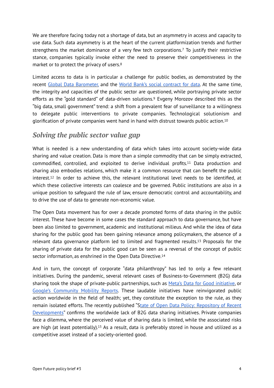<span id="page-3-0"></span>We are therefore facing today not a shortage of data, but an asymmetry in access and capacity to use data. Such data asymmetry is at the heart of the current platformization trends and further strengthensthe market dominance of a very few tech corporations.<sup>[7](#page-13-6)</sup> To justify their restrictive stance, companies typically invoke either the need to preserve their competitiveness in the market or to protect the privacy of users.[8](#page-13-7)

<span id="page-3-2"></span><span id="page-3-1"></span>Limited access to data is in particular a challenge for public bodies, as demonstrated by the recent [Global Data Barometer,](https://globaldatabarometer.org/) and the [World Bank's social contract for data](https://wdr2021.worldbank.org/stories/the-social-contract-for-data/). At the same time, the integrity and capacities of the public sector are questioned, while portraying private sector effortsas the "gold standard" of data-driven solutions.<sup>[9](#page-13-8)</sup> Evgeny Morozov described this as the "big data, small government" trend: a shift from a prevalent fear of surveillance to a willingness to delegate public interventions to private companies. Technological solutionism and glorification of private companies went hand in hand with distrust towards public action[.10](#page-13-9)

#### <span id="page-3-3"></span>*Solving the public sector value gap*

<span id="page-3-5"></span><span id="page-3-4"></span>What is needed is a new understanding of data which takes into account society-wide data sharing and value creation. Data is more than a simple commodity that can be simply extracted, commodified, controlled, and exploited to derive individual profits[.](#page-13-10)<sup>[11](#page-13-10)</sup> Data production and sharing also embodies relations, which make it a common resource that can benefit the public interest[.](#page-13-11)<sup>[12](#page-13-11)</sup> In order to achieve this, the relevant institutional level needs to be identified, at which these collective interests can coalesce and be governed. Public institutions are also in a unique position to safeguard the rule of law, ensure democratic control and accountability, and to drive the use of data to generate non-economic value.

The Open Data movement has for over a decade promoted forms of data sharing in the public interest. These have become in some cases the standard approach to data governance, but have been also limited to government, academic and institutional milieus. And while the idea of data sharing for the public good has been gaining relevance among policymakers, the absence of a relevantdata governance platform led to limited and fragmented results.<sup>[13](#page-13-12)</sup> Proposals for the sharing of private data for the public good can be seen as a reversal of the concept of public sector information, as enshrined in the Open Data Directive.[14](#page-13-13)

<span id="page-3-8"></span><span id="page-3-7"></span><span id="page-3-6"></span>And in turn, the concept of corporate "data philanthropy" has led to only a few relevant initiatives. During the pandemic, several relevant cases of Business-to-Government (B2G) data sharing took the shape of private-public partnerships, such as [Meta's Data for Good initiative,](https://dataforgood.facebook.com/) or [Google's Community Mobility Reports](https://www.google.com/covid19/mobility/). These laudable initiatives have reinvigorated public action worldwide in the field of health; yet, they constitute the exception to the rule, as they remain isolated efforts. The recently published "[State of Open Data Policy: Repository of Recent](https://docs.google.com/document/d/1J_YJb_mPwFLXVSuJBNK0pudIGKT9ARk0Gbw4ojW6qQo/edit) [Developments](https://docs.google.com/document/d/1J_YJb_mPwFLXVSuJBNK0pudIGKT9ARk0Gbw4ojW6qQo/edit)" confirms the worldwide lack of B2G data sharing initiatives. Private companies face a dilemma, where the perceived value of sharing data is limited, while the associated risks arehigh (at least potentially).<sup>[15](#page-13-14)</sup> As a result, data is preferably stored in house and utilized as a competitive asset instead of a society-oriented good.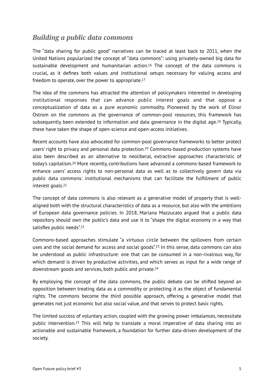#### *Building a public data commons*

<span id="page-4-0"></span>The "data sharing for public good" narratives can be traced at least back to 2011, when the United Nations popularized the concept of "data commons": using privately-owned big data for sustainabledevelopment and humanitarian action.<sup>[16](#page-13-15)</sup> The concept of the data commons is crucial, as it defines both values and institutional setups necessary for valuing access and freedom to operate, over the power to appropriate.[17](#page-13-16)

<span id="page-4-1"></span>The idea of the commons has attracted the attention of policymakers interested in developing institutional responses that can advance public interest goals and that oppose a conceptualization of data as a pure economic commodity. Pioneered by the work of Elinor Ostrom on the commons as the governance of common-pool resources, this framework has subsequently been extended to information and data governance in the digital age[.](#page-13-17)<sup>[18](#page-13-17)</sup> Typically, these have taken the shape of open-science and open-access initiatives.

<span id="page-4-4"></span><span id="page-4-3"></span><span id="page-4-2"></span>Recent accounts have also advocated for common-pool governance frameworks to better protect users' right to privacy and personal data protection[.](#page-13-18)<sup>[19](#page-13-18)</sup> Commons-based production systems have also been described as an alternative to neoliberal, extractive approaches characteristic of today'scapitalism.<sup>[20](#page-13-19)</sup> More recently, contributions have advanced a commons-based framework to enhance users' access rights to non-personal data as well as to collectively govern data via public data commons: institutional mechanisms that can facilitate the fulfillment of public interest goals[.21](#page-13-20)

<span id="page-4-5"></span>The concept of data commons is also relevant as a generative model of property that is wellaligned both with the structural characteristics of data as a resource, but also with the ambitions of European data governance policies. In 2018, Mariana Mazzucato argued that a public data repository should own the public's data and use it to "shape the digital economy in a way that satisfies public needs"[.22](#page-14-0)

<span id="page-4-7"></span><span id="page-4-6"></span>Commons-based approaches stimulate "a virtuous circle between the spillovers from certain uses and the social demand for access and social goods"[.](#page-14-1)<sup>[23](#page-14-1)</sup> In this sense, data commons can also be understood as public infrastructure: one that can be consumed in a non-rivalrous way, for which demand is driven by productive activities, and which serves as input for a wide range of downstream goods and services, both public and private.[24](#page-14-2)

<span id="page-4-8"></span>By employing the concept of the data commons, the public debate can be shifted beyond an opposition between treating data as a commodity or protecting it as the object of fundamental rights. The commons become the third possible approach, offering a generative model that generates not just economic but also social value, and that serves to protect basic rights.

<span id="page-4-9"></span>The limited success of voluntary action, coupled with the growing power imbalances, necessitate public intervention[.](#page-14-3)<sup>[25](#page-14-3)</sup> This will help to translate a moral imperative of data sharing into an actionable and sustainable framework, a foundation for further data-driven development of the society.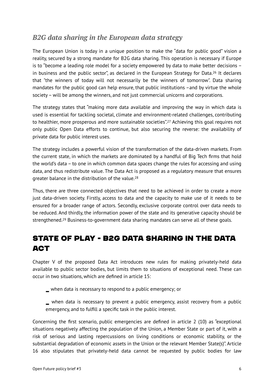### *B2G data sharing in the European data strategy*

<span id="page-5-0"></span>The European Union is today in a unique position to make the "data for public good" vision a reality, secured by a strong mandate for B2G data sharing. This operation is necessary if Europe is to "become a leading role model for a society empowered by data to make better decisions – inbusiness and the public sector", as declared in the European Strategy for Data.<sup>[26](#page-14-4)</sup> It declares that "the winners of today will not necessarily be the winners of tomorrow". Data sharing mandates for the public good can help ensure, that public institutions –and by virtue the whole society – will be among the winners, and not just commercial unicorns and corporations.

<span id="page-5-1"></span>The strategy states that "making more data available and improving the way in which data is used is essential for tackling societal, climate and environment-related challenges, contributing to healthier, more prosperous and more sustainable societies"[.](#page-14-5)<sup>[27](#page-14-5)</sup> Achieving this goal requires not only public Open Data efforts to continue, but also securing the reverse: the availability of private data for public interest uses.

The strategy includes a powerful vision of the transformation of the data-driven markets. From the current state, in which the markets are dominated by a handful of Big Tech firms that hold the world's data – to one in which common data spaces change the rules for accessing and using data, and thus redistribute value. The Data Act is proposed as a regulatory measure that ensures greater balance in the distribution of the value[.28](#page-14-6)

<span id="page-5-2"></span>Thus, there are three connected objectives that need to be achieved in order to create a more just data-driven society. Firstly, access to data and the capacity to make use of it needs to be ensured for a broader range of actors. Secondly, exclusive corporate control over data needs to be reduced. And thirdly, the information power of the state and its generative capacity should be strengthened.<sup>29</sup>Business-to-government data sharing mandates can serve all of these goals.

# <span id="page-5-3"></span>STATE OF PLAY - B2G DATA SHARING IN THE DATA **ACT**

Chapter V of the proposed Data Act introduces new rules for making privately-held data available to public sector bodies, but limits them to situations of exceptional need. These can occur in two situations, which are defined in article 15:

\_ when data is necessary to respond to a public emergency; or

\_ when data is necessary to prevent a public emergency, assist recovery from a public emergency, and to fulfill a specific task in the public interest.

Concerning the first scenario, public emergencies are defined in article 2 (10) as "exceptional situations negatively affecting the population of the Union, a Member State or part of it, with a risk of serious and lasting repercussions on living conditions or economic stability, or the substantial degradation of economic assets in the Union or the relevant Member State(s)". Article 16 also stipulates that privately-held data cannot be requested by public bodies for law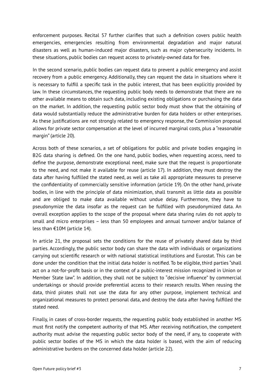enforcement purposes. Recital 57 further clarifies that such a definition covers public health emergencies, emergencies resulting from environmental degradation and major natural disasters as well as human-induced major disasters, such as major cybersecurity incidents. In these situations, public bodies can request access to privately-owned data for free.

In the second scenario, public bodies can request data to prevent a public emergency and assist recovery from a public emergency. Additionally, they can request the data in situations where it is necessary to fulfill a specific task in the public interest, that has been explicitly provided by law. In these circumstances, the requesting public body needs to demonstrate that there are no other available means to obtain such data, including existing obligations or purchasing the data on the market. In addition, the requesting public sector body must show that the obtaining of data would substantially reduce the administrative burden for data holders or other enterprises. As these justifications are not strongly related to emergency response, the Commission proposal allows for private sector compensation at the level of incurred marginal costs, plus a "reasonable margin" (article 20).

Across both of these scenarios, a set of obligations for public and private bodies engaging in B2G data sharing is defined. On the one hand, public bodies, when requesting access, need to define the purpose, demonstrate exceptional need, make sure that the request is proportionate to the need, and not make it available for reuse (article 17). In addition, they must destroy the data after having fulfilled the stated need, as well as take all appropriate measures to preserve the confidentiality of commercially sensitive information (article 19). On the other hand, private bodies, in line with the principle of data minimization, shall transmit as little data as possible and are obliged to make data available without undue delay. Furthermore, they have to pseudonymize the data insofar as the request can be fulfilled with pseudonymized data. An overall exception applies to the scope of the proposal where data sharing rules do not apply to small and micro enterprises – less than 50 employees and annual turnover and/or balance of less than €10M (article 14).

In article 21, the proposal sets the conditions for the reuse of privately shared data by third parties. Accordingly, the public sector body can share the data with individuals or organizations carrying out scientific research or with national statistical institutions and Eurostat. This can be done under the condition that the initial data holder is notified. To be eligible, third parties "shall act on a not-for-profit basis or in the context of a public-interest mission recognized in Union or Member State law". In addition, they shall not be subject to "decisive influence" by commercial undertakings or should provide preferential access to their research results. When reusing the data, third pirates shall not use the data for any other purpose, implement technical and organizational measures to protect personal data, and destroy the data after having fulfilled the stated need.

Finally, in cases of cross-border requests, the requesting public body established in another MS must first notify the competent authority of that MS. After receiving notification, the competent authority must advise the requesting public sector body of the need, if any, to cooperate with public sector bodies of the MS in which the data holder is based, with the aim of reducing administrative burdens on the concerned data holder (article 22).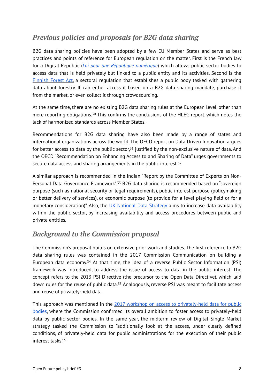## *Previous policies and proposals for B2G data sharing*

B2G data sharing policies have been adopted by a few EU Member States and serve as best practices and points of reference for European regulation on the matter. First is the French law for a Digital Republic (*[Loi pour une République numérique](https://www.legifrance.gouv.fr/loda/id/JORFTEXT000033202746/)*) which allows public sector bodies to access data that is held privately but linked to a public entity and its activities. Second is the [Finnish Forest Act](https://mmm.fi/en/forests/legislation), a sectoral regulation that establishes a public body tasked with gathering data about forestry. It can either access it based on a B2G data sharing mandate, purchase it from the market, or even collect it through crowdsourcing.

<span id="page-7-0"></span>At the same time, there are no existing B2G data sharing rules at the European level, other than mere reporting obligations[.](#page-14-8)<sup>[30](#page-14-8)</sup> This confirms the conclusions of the HLEG report, which notes the lack of harmonized standards across Member States.

<span id="page-7-1"></span>Recommendations for B2G data sharing have also been made by a range of states and international organizations across the world. The OECD report on Data Driven Innovation argues forbetter access to data by the public sector, $31$  justified by the non-exclusive nature of data. And the OECD "Recommendation on Enhancing Access to and Sharing of Data" urges governments to secure data access and sharing arrangements in the public interest.<sup>32</sup>

<span id="page-7-3"></span><span id="page-7-2"></span>A similar approach is recommended in the Indian "Report by the Committee of Experts on Non-Personal Data Governance Framework"[.](#page-14-11)<sup>[33](#page-14-11)</sup> B2G data sharing is recommended based on "sovereign purpose (such as national security or legal requirements), public interest purpose (policymaking or better delivery of services), or economic purpose (to provide for a level playing field or for a monetary consideration)". Also, the [UK National Data Strategy](https://www.gov.uk/government/publications/uk-national-data-strategy/national-data-strategy#data-1-3) aims to increase data availability within the public sector, by increasing availability and access procedures between public and private entities.

### *Background to the Commission proposal*

<span id="page-7-4"></span>The Commission's proposal builds on extensive prior work and studies. The first reference to B2G data sharing rules was contained in the 2017 Commission Communication on building a European data economy[.](#page-14-12)<sup>[34](#page-14-12)</sup> At that time, the idea of a reverse Public Sector Information (PSI) framework was introduced, to address the issue of access to data in the public interest. The concept refers to the 2013 PSI Directive (the precursor to the Open Data Directive), which laid down rules for the reuse of public data[.](#page-14-13)<sup>[35](#page-14-13)</sup> Analogously, reverse PSI was meant to facilitate access and reuse of privately-held data.

<span id="page-7-6"></span><span id="page-7-5"></span>This approach was mentioned in the [2017 workshop on access to privately-held data for public](https://ec.europa.eu/information_society/newsroom/image/document/2017-28/final_-_report_from_reverse_psi_workshop_B7FA94EE-FA15-1929-8BBA2754D0D2FBE9_45916.pdf) [bodies,](https://ec.europa.eu/information_society/newsroom/image/document/2017-28/final_-_report_from_reverse_psi_workshop_B7FA94EE-FA15-1929-8BBA2754D0D2FBE9_45916.pdf) where the Commission confirmed its overall ambition to foster access to privately-held data by public sector bodies. In the same year, the midterm review of Digital Single Market strategy tasked the Commission to "additionally look at the access, under clearly defined conditions, of privately-held data for public administrations for the execution of their public interest tasks"[.36](#page-14-14)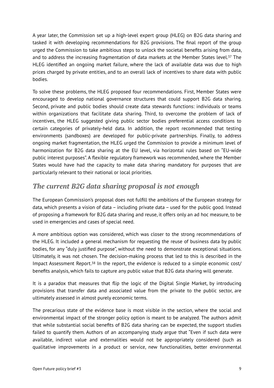<span id="page-8-0"></span>A year later, the Commission set up a high-level expert group (HLEG) on B2G data sharing and tasked it with developing recommendations for B2G provisions. The final report of the group urged the Commission to take ambitious steps to unlock the societal benefits arising from data, and to address the increasing fragmentation of data markets at the Member States level[.](#page-14-15)<sup>[37](#page-14-15)</sup> The HLEG identified an ongoing market failure, where the lack of available data was due to high prices charged by private entities, and to an overall lack of incentives to share data with public bodies.

To solve these problems, the HLEG proposed four recommendations. First, Member States were encouraged to develop national governance structures that could support B2G data sharing. Second, private and public bodies should create data stewards functions: individuals or teams within organizations that facilitate data sharing. Third, to overcome the problem of lack of incentives, the HLEG suggested giving public sector bodies preferential access conditions to certain categories of privately-held data. In addition, the report recommended that testing environments (sandboxes) are developed for public-private partnerships. Finally, to address ongoing market fragmentation, the HLEG urged the Commission to provide a minimum level of harmonization for B2G data sharing at the EU level, via horizontal rules based on "EU-wide public interest purposes". A flexible regulatory framework was recommended, where the Member States would have had the capacity to make data sharing mandatory for purposes that are particularly relevant to their national or local priorities.

### *The current B2G data sharing proposal is not enough*

The European Commission's proposal does not fulfill the ambitions of the European strategy for data, which presents a vision of data – including private data – used for the public good. Instead of proposing a framework for B2G data sharing and reuse, it offers only an ad hoc measure, to be used in emergencies and cases of special need.

A more ambitious option was considered, which was closer to the strong recommendations of the HLEG. It included a general mechanism for requesting the reuse of business data by public bodies, for any "duly justified purpose", without the need to demonstrate exceptional situations. Ultimately, it was not chosen. The decision-making process that led to this is described in the Impact Assessment Report[.](#page-14-16)<sup>38</sup> In the report, the evidence is reduced to a simple economic cost/ benefits analysis, which fails to capture any public value that B2G data sharing will generate.

<span id="page-8-1"></span>It is a paradox that measures that flip the logic of the Digital Single Market, by introducing provisions that transfer data and associated value from the private to the public sector, are ultimately assessed in almost purely economic terms.

The precarious state of the evidence base is most visible in the section, where the social and environmental impact of the stronger policy option is meant to be analyzed. The authors admit that while substantial social benefits of B2G data sharing can be expected, the support studies failed to quantify them. Authors of an accompanying study argue that "Even if such data were available, indirect value and externalities would not be appropriately considered (such as qualitative improvements in a product or service, new functionalities, better environmental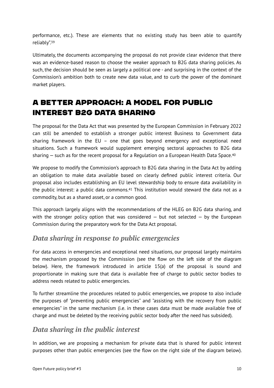<span id="page-9-0"></span>performance, etc.). These are elements that no existing study has been able to quantify reliably".[39](#page-14-17)

Ultimately, the documents accompanying the proposal do not provide clear evidence that there was an evidence-based reason to choose the weaker approach to B2G data sharing policies. As such, the decision should be seen as largely a political one - and surprising in the context of the Commission's ambition both to create new data value, and to curb the power of the dominant market players.

# A better approach: a model for public interest B2G data sharing

The proposal for the Data Act that was presented by the European Commission in February 2022 can still be amended to establish a stronger public interest Business to Government data sharing framework in the EU – one that goes beyond emergency and exceptional need situations. Such a framework would supplement emerging sectoral approaches to B2G data sharing  $-$  such as for the recent proposal for a Regulation on a European Health Data Space.<sup>[40](#page-14-18)</sup>

<span id="page-9-1"></span>We propose to modify the Commission's approach to B2G data sharing in the Data Act by adding an obligation to make data available based on clearly defined public interest criteria. Our proposal also includes establishing an EU level stewardship body to ensure data availability in the public interest: a public data commons[.](#page-14-19)<sup>[41](#page-14-19)</sup> This institution would steward the data not as a commodity, but as a shared asset, or a common good.

<span id="page-9-2"></span>This approach largely aligns with the recommendations of the HLEG on B2G data sharing, and with the stronger policy option that was considered  $-$  but not selected  $-$  by the European Commission during the preparatory work for the Data Act proposal.

#### *Data sharing in response to public emergencies*

For data access in emergencies and exceptional need situations, our proposal largely maintains the mechanism proposed by the Commission (see the flow on the left side of the diagram below). Here, the framework introduced in article 15(a) of the proposal is sound and proportionate in making sure that data is available free of charge to public sector bodies to address needs related to public emergencies.

To further streamline the procedures related to public emergencies, we propose to also include the purposes of "preventing public emergencies" and "assisting with the recovery from public emergencies" in the same mechanism (i.e. in these cases data must be made available free of charge and must be deleted by the receiving public sector body after the need has subsided).

#### *Data sharing in the public interest*

In addition, we are proposing a mechanism for private data that is shared for public interest purposes other than public emergencies (see the flow on the right side of the diagram below).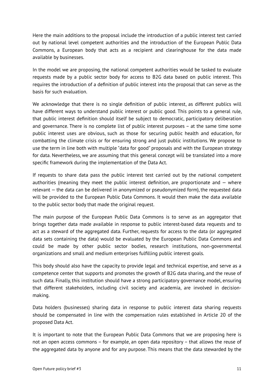Here the main additions to the proposal include the introduction of a public interest test carried out by national level competent authorities and the introduction of the European Public Data Commons, a European body that acts as a recipient and clearinghouse for the data made available by businesses.

In the model we are proposing, the national competent authorities would be tasked to evaluate requests made by a public sector body for access to B2G data based on public interest. This requires the introduction of a definition of public interest into the proposal that can serve as the basis for such evaluation.

We acknowledge that there is no single definition of public interest, as different publics will have different ways to understand public interest or public good. This points to a general rule, that public interest definition should itself be subject to democratic, participatory deliberation and governance. There is no complete list of public interest purposes – at the same time some public interest uses are obvious, such as those for securing public health and education, for combatting the climate crisis or for ensuring strong and just public institutions. We propose to use the term in line both with multiple "data for good" proposals and with the European strategy for data. Nevertheless, we are assuming that this general concept will be translated into a more specific framework during the implementation of the Data Act.

If requests to share data pass the public interest test carried out by the national competent authorities (meaning they meet the public interest definition, are proportionate and  $-$  where relevant — the data can be delivered in anonymized or pseudonymized form), the requested data will be provided to the European Public Data Commons. It would then make the data available to the public sector body that made the original request.

The main purpose of the European Public Data Commons is to serve as an aggregator that brings together data made available in response to public interest-based data requests and to act as a steward of the aggregated data. Further, requests for access to the data (or aggregated data sets containing the data) would be evaluated by the European Public Data Commons and could be made by other public sector bodies, research institutions, non-governmental organizations and small and medium enterprises fulfilling public interest goals.

This body should also have the capacity to provide legal and technical expertise, and serve as a competence center that supports and promotes the growth of B2G data sharing, and the reuse of such data. Finally, this institution should have a strong participatory governance model, ensuring that different stakeholders, including civil society and academia, are involved in decisionmaking.

Data holders (businesses) sharing data in response to public interest data sharing requests should be compensated in line with the compensation rules established in Article 20 of the proposed Data Act.

It is important to note that the European Public Data Commons that we are proposing here is not an open access commons – for example, an open data repository – that allows the reuse of the aggregated data by anyone and for any purpose. This means that the data stewarded by the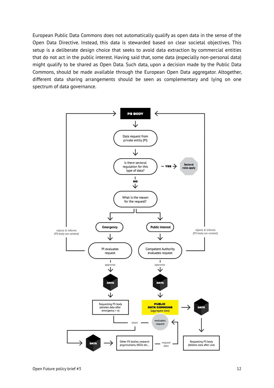European Public Data Commons does not automatically qualify as open data in the sense of the Open Data Directive. Instead, this data is stewarded based on clear societal objectives. This setup is a deliberate design choice that seeks to avoid data extraction by commercial entities that do not act in the public interest. Having said that, some data (especially non-personal data) might qualify to be shared as Open Data. Such data, upon a decision made by the Public Data Commons, should be made available through the European Open Data aggregator. Altogether, different data sharing arrangements should be seen as complementary and lying on one spectrum of data governance.

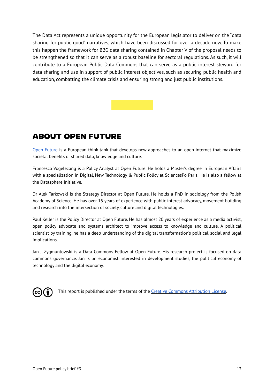The Data Act represents a unique opportunity for the European legislator to deliver on the "data sharing for public good" narratives, which have been discussed for over a decade now. To make this happen the framework for B2G data sharing contained in Chapter V of the proposal needs to be strengthened so that it can serve as a robust baseline for sectoral regulations. As such, it will contribute to a European Public Data Commons that can serve as a public interest steward for data sharing and use in support of public interest objectives, such as securing public health and education, combatting the climate crisis and ensuring strong and just public institutions.

# About Open Future

[Open Future](https://www.openfuture.eu) is a European think tank that develops new approaches to an open internet that maximize societal benefits of shared data, knowledge and culture.

Francesco Vogelezang is a Policy Analyst at Open Future. He holds a Master's degree in European Affairs with a specialization in Digital, New Technology & Public Policy at SciencesPo Paris. He is also a fellow at the Datasphere initiative.

Dr Alek Tarkowski is the Strategy Director at Open Future. He holds a PhD in sociology from the Polish Academy of Science. He has over 15 years of experience with public interest advocacy, movement building and research into the intersection of society, culture and digital technologies.

Paul Keller is the Policy Director at Open Future. He has almost 20 years of experience as a media activist, open policy advocate and systems architect to improve access to knowledge and culture. A political scientist by training, he has a deep understanding of the digital transformation's political, social and legal implications.

Jan J. Zygmuntowski is a Data Commons Fellow at Open Future. His research project is focused on data commons governance. Jan is an economist interested in development studies, the political economy of technology and the digital economy.



This report is published under the terms of the [Creative Commons Attribution License](https://creativecommons.org/licenses/by/4.0/).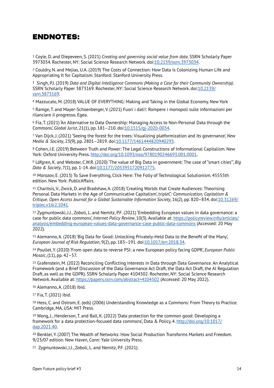# Endnotes:

<span id="page-13-0"></span> Coyle, D. and Diepeveen, S. (2021) *Creating and governing social value from data*. SSRN Scholarly Paper [1](#page-2-0) 3973034. Rochester, NY: Social Science Research Network. doi[:10.2139/ssrn.3973034](https://doi.org/10.2139/ssrn.3973034).

<span id="page-13-1"></span><sup>[2](#page-2-1)</sup> Couldry, N. and Mejias, U.A. (2019) The Costs of Connection: How Data Is Colonizing Human Life and Appropriating It for Capitalism. Stanford: Stanford University Press.

<span id="page-13-2"></span>Singh, P.J. (2019) *Data and Digital Intelligence Commons (Making a Case for their Community Ownership)*. [3](#page-2-2) SSRN Scholarly Paper 3873169. Rochester, NY: Social Science Research Network. doi:[10.2139/](https://doi.org/10.2139/ssrn.3873169) [ssrn.3873169](https://doi.org/10.2139/ssrn.3873169).

<span id="page-13-3"></span>[4](#page-2-3) Mazzucato, M. (2018) VALUE OF EVERYTHING: Making and Taking in the Global Economy. New York

<span id="page-13-4"></span> Ramge, T. and Mayer-Schoenberger, V. (2021) Fuori i dati!: Rompere i monopoli sulle informazioni per [5](#page-2-4) rilanciare il progresso. Egea.

<span id="page-13-5"></span> Fia, T. (2021) 'An Alternative to Data Ownership: Managing Access to Non-Personal Data through the [6](#page-2-5) Commons', *Global Jurist*, 21(1), pp. 181–210. doi:[10.1515/gj-2020-0034.](https://doi.org/10.1515/gj-2020-0034)

<span id="page-13-6"></span> Van Dijck, J. (2021) 'Seeing the forest for the trees: Visualizing platformization and its governance', *New* [7](#page-3-0) *Media & Society*, 23(9), pp. 2801–2819. doi:[10.1177/1461444820940293](https://doi.org/10.1177/1461444820940293).

<span id="page-13-7"></span> Cohen, J.E. (2019) Between Truth and Power: The Legal Constructions of Informational Capitalism. New [8](#page-3-1) York: Oxford University Press. <http://doi.org/10.1093/oso/9780190246693.001.0001>.

<span id="page-13-8"></span> Löfgren, K. and Webster, C.W.R. (2020) 'The value of Big Data in government: The case of "smart cities"', *Big* [9](#page-3-2) *Data & Society*, 7(1), pp. 1-14. doi[:10.1177/2053951720912775](https://doi.org/10.1177/2053951720912775).

<span id="page-13-9"></span>[10](#page-3-3) Morozov, E. (2013) To Save Everything, Click Here: The Folly of Technological Solutionism, 45555th edition. New York: PublicAffairs.

<span id="page-13-10"></span><sup>[11](#page-3-4)</sup> Charitsis, V., Zwick, D. and Bradshaw, A. (2018) 'Creating Worlds that Create Audiences: Theorising Personal Data Markets in the Age of Communicative Capitalism', *tripleC: Communication, Capitalism & Critique. Open Access Journal for a Global Sustainable Information Society*, 16(2), pp. 820–834. doi:[10.31269/](https://doi.org/10.31269/triplec.v16i2.1041) [triplec.v16i2.1041.](https://doi.org/10.31269/triplec.v16i2.1041)

<span id="page-13-11"></span><sup>[12](#page-3-5)</sup> Zygmuntowski, J.J., Zoboli, L. and Nemitz, P.F. (2021) 'Embedding European values in data governance: a case for public data commons', *Internet Policy Review*, 10(3). Available at: [https://policyreview.info/articles/](https://policyreview.info/articles/analysis/embedding-european-values-data-governance-case-public-data-commons) [analysis/embedding-european-values-data-governance-case-public-data-commons \(Accessed: 20 May](https://policyreview.info/articles/analysis/embedding-european-values-data-governance-case-public-data-commons)  2022).

<span id="page-13-12"></span><sup>[13](#page-3-6)</sup> Alemanno, A. (2018) 'Big Data for Good: Unlocking Privately-Held Data to the Benefit of the Many', *European Journal of Risk Regulation*, 9(2), pp. 183–191. doi:[10.1017/err.2018.34.](https://doi.org/10.1017/err.2018.34)

<span id="page-13-13"></span> Poullet, Y. (2020) 'From open data to reverse PSI: a new European policy facing GDPR', *European Public* [14](#page-3-7) *Mosaic*, (11), pp. 42–57.

<span id="page-13-14"></span><sup>[15](#page-3-8)</sup> Grafenstein, M. (2022) Reconciling Conflicting Interests in Data through Data Governance. An Analytical Framework (and a Brief Discussion of the Data Governance Act Draft, the Data Act Draft, the AI Regulation Draft, as well as the GDPR). SSRN Scholarly Paper 4104502. Rochester, NY: Social Science Research Network. Available at: <https://papers.ssrn.com/abstract=4104502>(Accessed: 20 May 2022).

<span id="page-13-15"></span>[16](#page-4-0) Alemanno, A. (2018) ibid.

<span id="page-13-16"></span>[17](#page-4-1) Fia, T. (2021) ibid.

<span id="page-13-17"></span>[18](#page-4-2) Hess, C. and Ostrom, E. (eds) (2006) Understanding Knowledge as a Commons: From Theory to Practice. Cambridge, MA, USA: MIT Press.

<span id="page-13-18"></span>[19](#page-4-3) Wong, J., Henderson, T. and Ball, K. (2022) 'Data protection for the common good: Developing a framework for a data protection-focused data commons', Data & Policy, 4. [http://doi.org/10.1017/](http://doi.org/10.1017/dap.2021.40) [dap.2021.40](http://doi.org/10.1017/dap.2021.40).

<span id="page-13-19"></span><sup>[20](#page-4-4)</sup> Benkler, Y. (2007) The Wealth of Networks: How Social Production Transforms Markets and Freedom. 9/23/07 edition. New Haven, Conn: Yale University Press.

<span id="page-13-20"></span><sup>[21](#page-4-5)</sup> Zygmuntowski, J.J., Zoboli, L. and Nemitz, P.F. (2021).